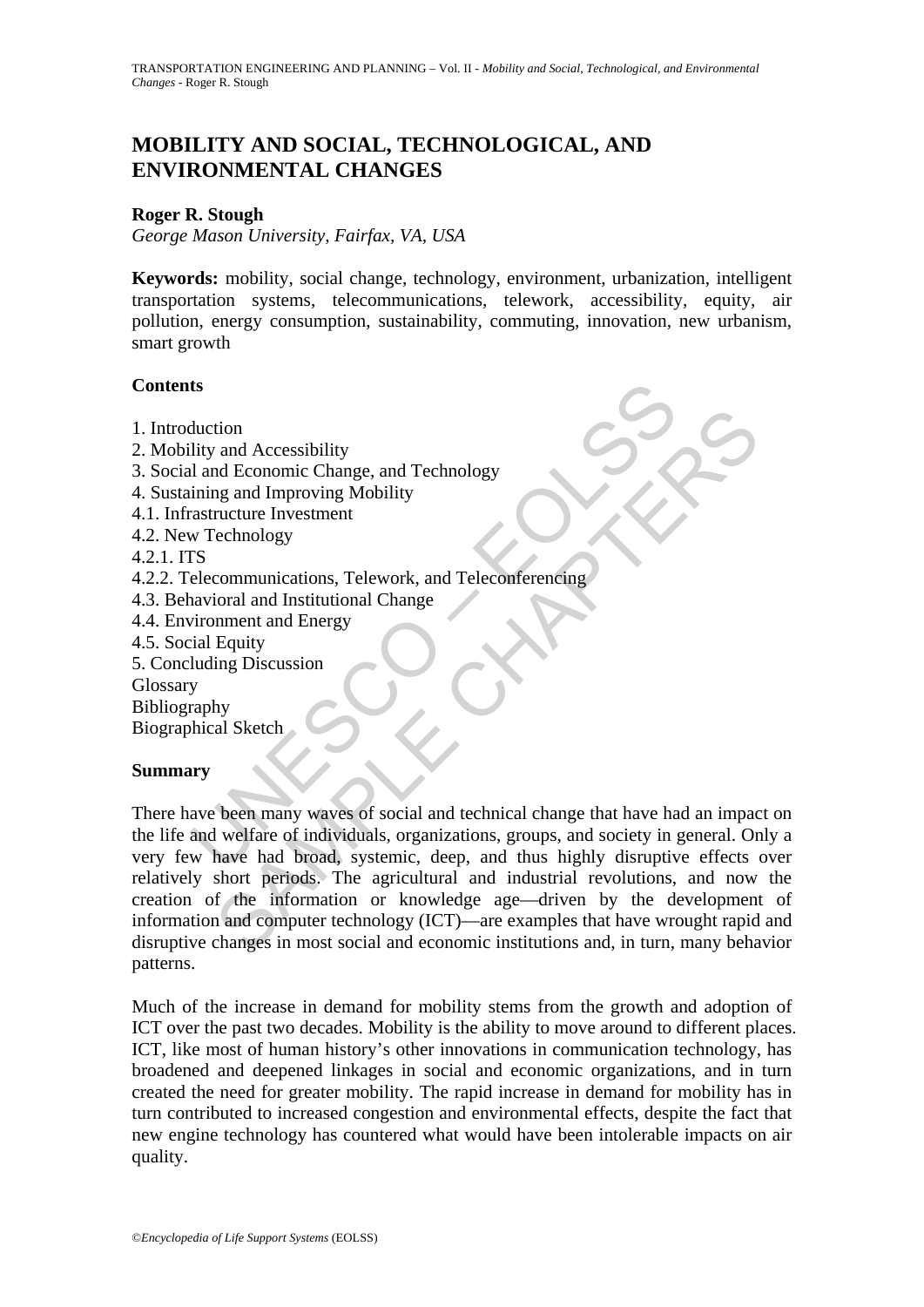# **MOBILITY AND SOCIAL, TECHNOLOGICAL, AND ENVIRONMENTAL CHANGES**

### **Roger R. Stough**

*George Mason University, Fairfax, VA, USA* 

**Keywords:** mobility, social change, technology, environment, urbanization, intelligent transportation systems, telecommunications, telework, accessibility, equity, air pollution, energy consumption, sustainability, commuting, innovation, new urbanism, smart growth

#### **Contents**

- 1. Introduction
- 2. Mobility and Accessibility
- 3. Social and Economic Change, and Technology
- 4. Sustaining and Improving Mobility
- 4.1. Infrastructure Investment
- 4.2. New Technology
- 4.2.1. ITS
- 4.2.2. Telecommunications, Telework, and Teleconferencing
- 4.3. Behavioral and Institutional Change
- 4.4. Environment and Energy
- 4.5. Social Equity
- 5. Concluding Discussion

Glossary

Bibliography

Biographical Sketch

## **Summary**

ts<br>
duction<br>
lity and Accessibility<br>
liming and Improving Mobility<br>
ining and Improving Mobility<br>
arstructure Investment<br>
TS<br>
IS<br>
Elecommunications, Telework, and Teleconferencing<br>
NNS<br>
NNS<br>
NNS<br>
vicinal Equity<br>
luding Dis tion<br>
and Accessibility<br>
and Economic Change, and Technology<br>
mean Improving Mobility<br>
ructure Investment<br>
returned Investment<br>
ructure Investment<br>
echnology<br>
communications, Telework, and Teleconferencing<br>
mement and Ener There have been many waves of social and technical change that have had an impact on the life and welfare of individuals, organizations, groups, and society in general. Only a very few have had broad, systemic, deep, and thus highly disruptive effects over relatively short periods. The agricultural and industrial revolutions, and now the creation of the information or knowledge age—driven by the development of information and computer technology (ICT)—are examples that have wrought rapid and disruptive changes in most social and economic institutions and, in turn, many behavior patterns.

Much of the increase in demand for mobility stems from the growth and adoption of ICT over the past two decades. Mobility is the ability to move around to different places. ICT, like most of human history's other innovations in communication technology, has broadened and deepened linkages in social and economic organizations, and in turn created the need for greater mobility. The rapid increase in demand for mobility has in turn contributed to increased congestion and environmental effects, despite the fact that new engine technology has countered what would have been intolerable impacts on air quality.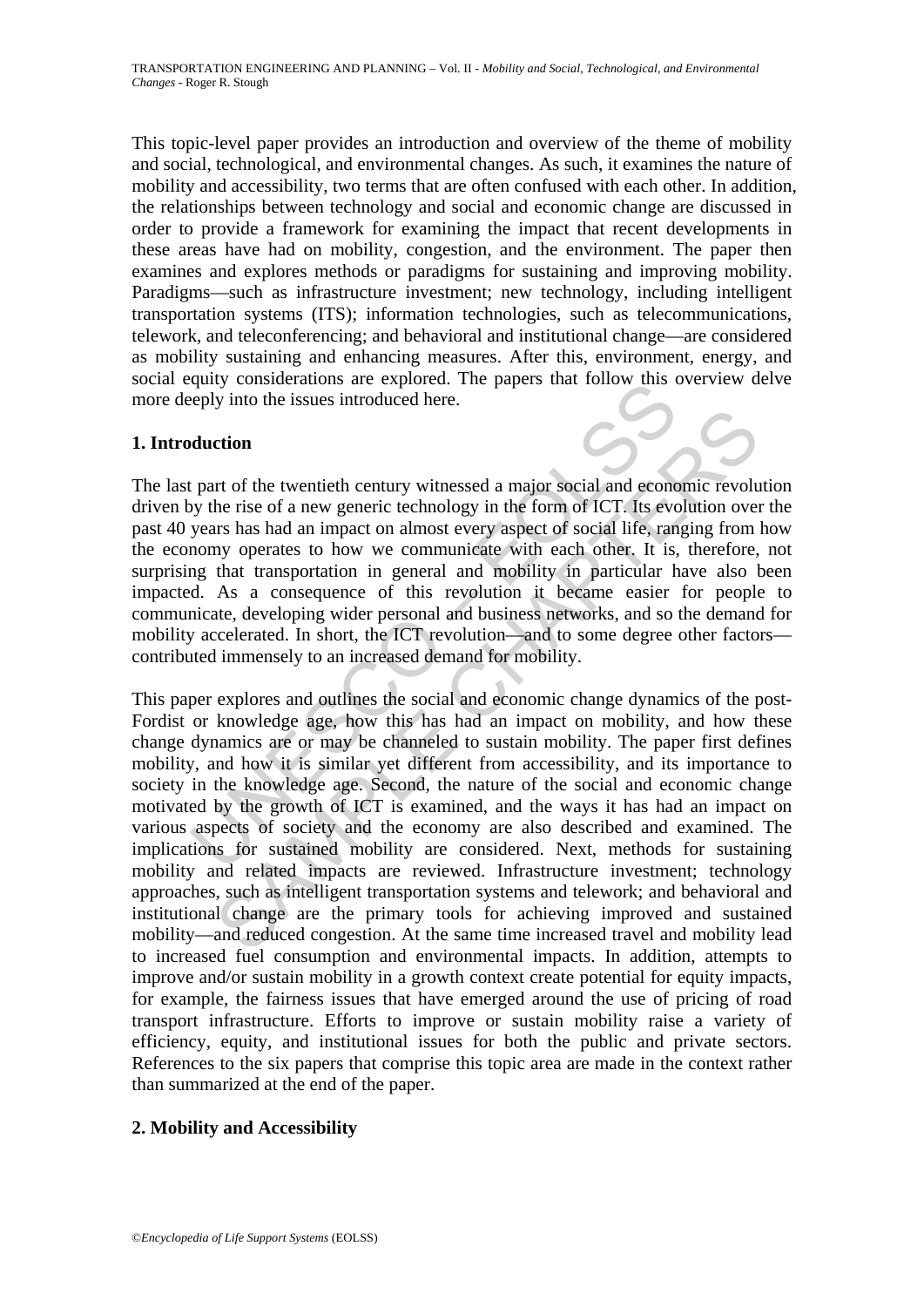This topic-level paper provides an introduction and overview of the theme of mobility and social, technological, and environmental changes. As such, it examines the nature of mobility and accessibility, two terms that are often confused with each other. In addition, the relationships between technology and social and economic change are discussed in order to provide a framework for examining the impact that recent developments in these areas have had on mobility, congestion, and the environment. The paper then examines and explores methods or paradigms for sustaining and improving mobility. Paradigms—such as infrastructure investment; new technology, including intelligent transportation systems (ITS); information technologies, such as telecommunications, telework, and teleconferencing; and behavioral and institutional change—are considered as mobility sustaining and enhancing measures. After this, environment, energy, and social equity considerations are explored. The papers that follow this overview delve more deeply into the issues introduced here.

# **1. Introduction**

during the state introduced here.<br>
The papers and the way into the issues introduced here.<br> **Aduction**<br> **Outcom**<br> **Outcom**<br> **Outcom**<br> **Outcom**<br> **Outcom**<br> **Outcom**<br> **Outcom**<br> **Outcom**<br> **Outcom**<br> **Outcom**<br> **Outcom**<br> **Outcom** The last part of the twentieth century witnessed a major social and economic revolution driven by the rise of a new generic technology in the form of ICT. Its evolution over the past 40 years has had an impact on almost every aspect of social life, ranging from how the economy operates to how we communicate with each other. It is, therefore, not surprising that transportation in general and mobility in particular have also been impacted. As a consequence of this revolution it became easier for people to communicate, developing wider personal and business networks, and so the demand for mobility accelerated. In short, the ICT revolution—and to some degree other factors contributed immensely to an increased demand for mobility.

ortion<br>and the twentieth century witnessed a major social and economic revolu-<br>the rise of a new generic technology in the form of ICT. Its evolution over<br>as has had an impact on almost every aspect of social life, ranging This paper explores and outlines the social and economic change dynamics of the post-Fordist or knowledge age, how this has had an impact on mobility, and how these change dynamics are or may be channeled to sustain mobility. The paper first defines mobility, and how it is similar yet different from accessibility, and its importance to society in the knowledge age. Second, the nature of the social and economic change motivated by the growth of ICT is examined, and the ways it has had an impact on various aspects of society and the economy are also described and examined. The implications for sustained mobility are considered. Next, methods for sustaining mobility and related impacts are reviewed. Infrastructure investment; technology approaches, such as intelligent transportation systems and telework; and behavioral and institutional change are the primary tools for achieving improved and sustained mobility—and reduced congestion. At the same time increased travel and mobility lead to increased fuel consumption and environmental impacts. In addition, attempts to improve and/or sustain mobility in a growth context create potential for equity impacts, for example, the fairness issues that have emerged around the use of pricing of road transport infrastructure. Efforts to improve or sustain mobility raise a variety of efficiency, equity, and institutional issues for both the public and private sectors. References to the six papers that comprise this topic area are made in the context rather than summarized at the end of the paper.

## **2. Mobility and Accessibility**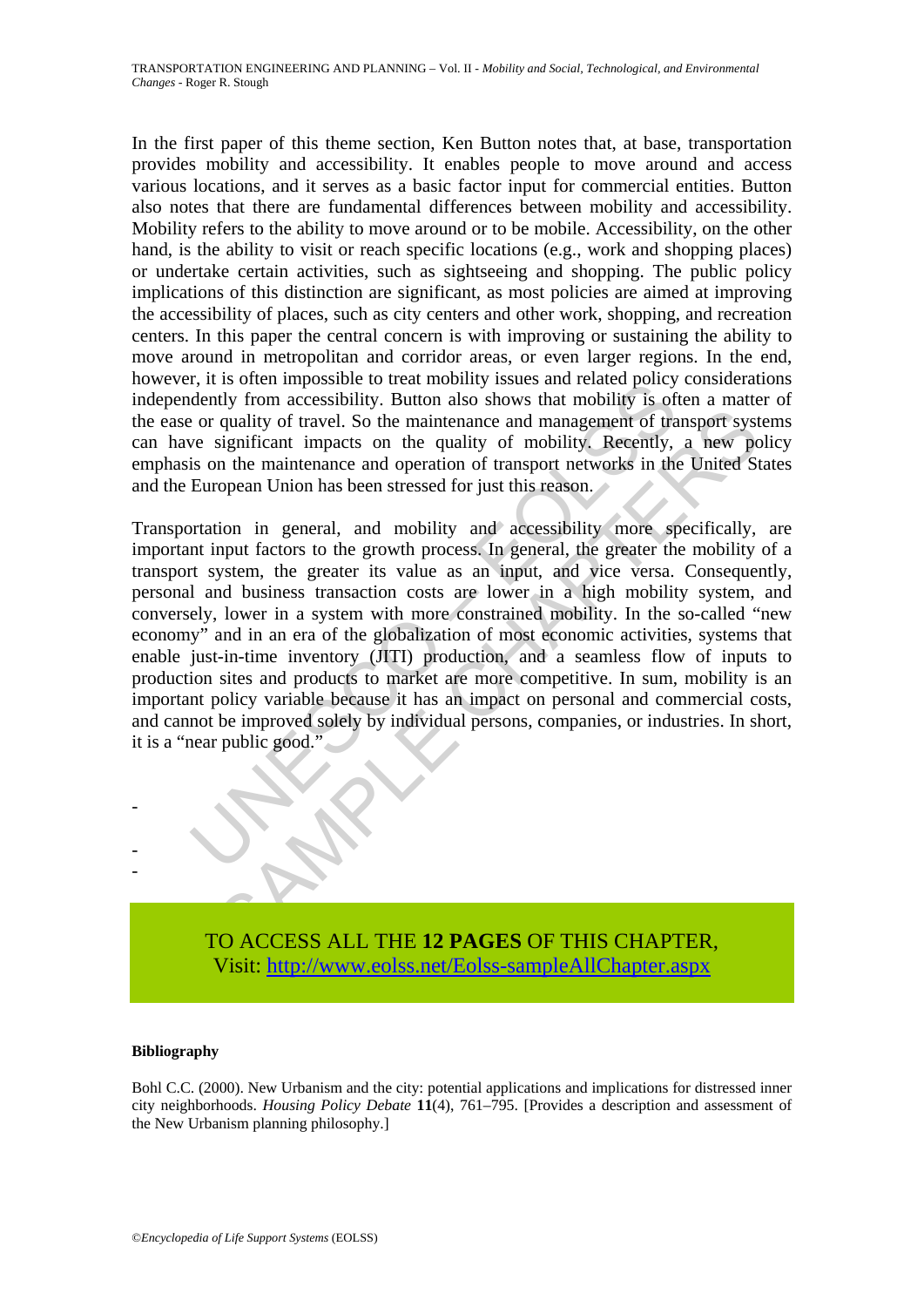In the first paper of this theme section, Ken Button notes that, at base, transportation provides mobility and accessibility. It enables people to move around and access various locations, and it serves as a basic factor input for commercial entities. Button also notes that there are fundamental differences between mobility and accessibility. Mobility refers to the ability to move around or to be mobile. Accessibility, on the other hand, is the ability to visit or reach specific locations (e.g., work and shopping places) or undertake certain activities, such as sightseeing and shopping. The public policy implications of this distinction are significant, as most policies are aimed at improving the accessibility of places, such as city centers and other work, shopping, and recreation centers. In this paper the central concern is with improving or sustaining the ability to move around in metropolitan and corridor areas, or even larger regions. In the end, however, it is often impossible to treat mobility issues and related policy considerations independently from accessibility. Button also shows that mobility is often a matter of the ease or quality of travel. So the maintenance and management of transport systems can have significant impacts on the quality of mobility. Recently, a new policy emphasis on the maintenance and operation of transport networks in the United States and the European Union has been stressed for just this reason.

r, it is onen impossione to teat motionity issues and related pointy<br>deletily from accessibility. Button also shows that mobility is of<br>or quality of travel. So the maintenance and management of tra<br>ve significant impacts quality of travel. So the maintenance and management of transport system<br>if quality of travel. So the maintenance and management of transport system<br>in the maintenance and operation of transport networks in the United St<br>o Transportation in general, and mobility and accessibility more specifically, are important input factors to the growth process. In general, the greater the mobility of a transport system, the greater its value as an input, and vice versa. Consequently, personal and business transaction costs are lower in a high mobility system, and conversely, lower in a system with more constrained mobility. In the so-called "new economy" and in an era of the globalization of most economic activities, systems that enable just-in-time inventory (JITI) production, and a seamless flow of inputs to production sites and products to market are more competitive. In sum, mobility is an important policy variable because it has an impact on personal and commercial costs, and cannot be improved solely by individual persons, companies, or industries. In short, it is a "near public good."



#### **Bibliography**

-

- -

Bohl C.C. (2000). New Urbanism and the city: potential applications and implications for distressed inner city neighborhoods. *Housing Policy Debate* **11**(4), 761–795. [Provides a description and assessment of the New Urbanism planning philosophy.]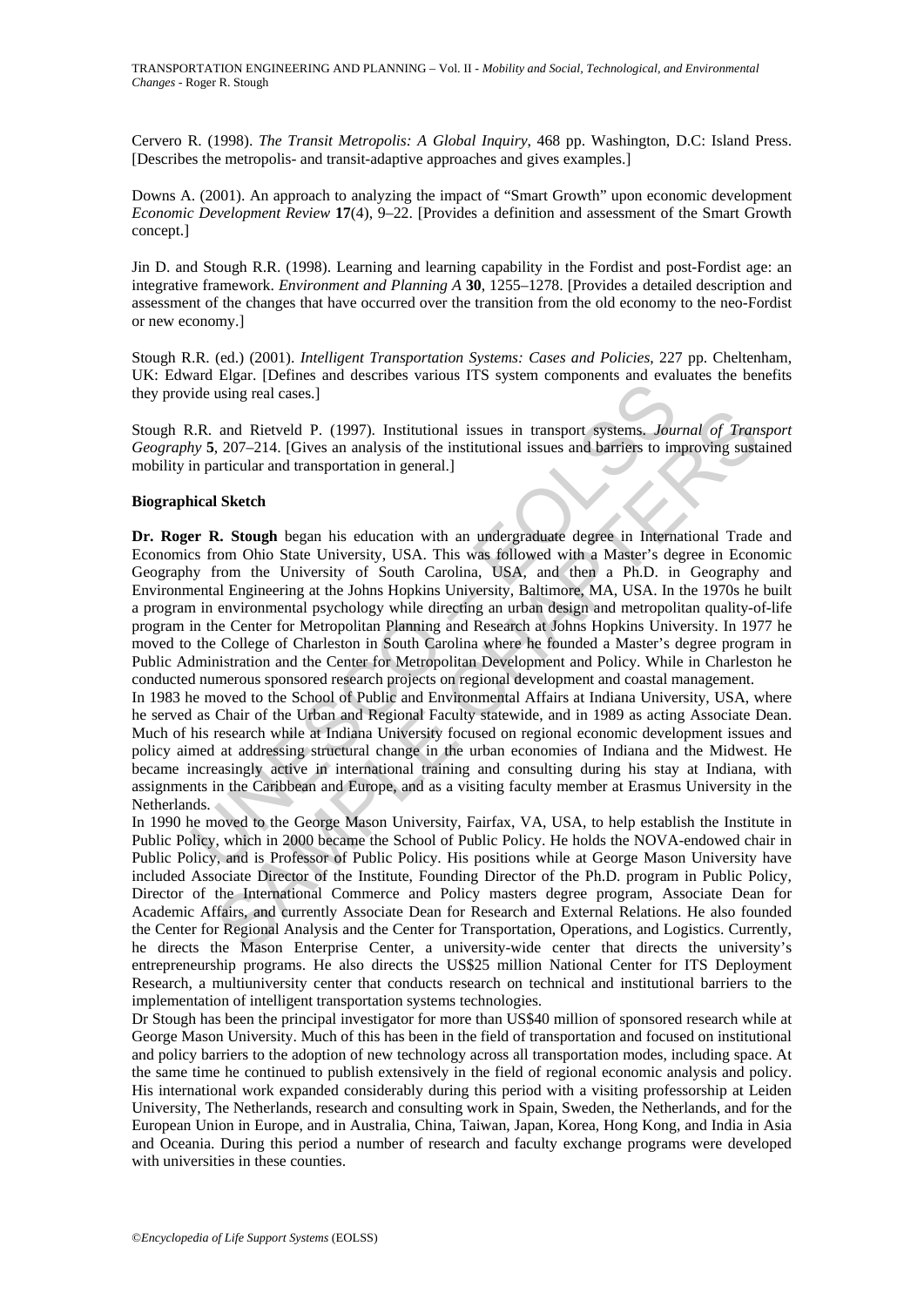Cervero R. (1998). *The Transit Metropolis: A Global Inquiry*, 468 pp. Washington, D.C: Island Press. [Describes the metropolis- and transit-adaptive approaches and gives examples.]

Downs A. (2001). An approach to analyzing the impact of "Smart Growth" upon economic development *Economic Development Review* **17**(4), 9–22. [Provides a definition and assessment of the Smart Growth concept.]

Jin D. and Stough R.R. (1998). Learning and learning capability in the Fordist and post-Fordist age: an integrative framework. *Environment and Planning A* **30**, 1255–1278. [Provides a detailed description and assessment of the changes that have occurred over the transition from the old economy to the neo-Fordist or new economy.]

Stough R.R. (ed.) (2001). *Intelligent Transportation Systems: Cases and Policies*, 227 pp. Cheltenham, UK: Edward Elgar. [Defines and describes various ITS system components and evaluates the benefits they provide using real cases.]

Stough R.R. and Rietveld P. (1997). Institutional issues in transport systems. *Journal of Transport Geography* **5**, 207–214. [Gives an analysis of the institutional issues and barriers to improving sustained mobility in particular and transportation in general.]

#### **Biographical Sketch**

Let using real and accounts of the Gold Band Microsofthian and European Computer and Soviety in the Computer of the method issues in transport systems. Jouly 5, 207–214. [Gives an analysis of the institutional issues and b and Rietveld P. (1997). Institutional issues in transport systems. *Journal of Tran*, 207-214. [Gives an analysis of the institutional issues and barriers to improving sustained and transportation in general.]<br>
Sketch<br> **S. Dr. Roger R. Stough** began his education with an undergraduate degree in International Trade and Economics from Ohio State University, USA. This was followed with a Master's degree in Economic Geography from the University of South Carolina, USA, and then a Ph.D. in Geography and Environmental Engineering at the Johns Hopkins University, Baltimore, MA, USA. In the 1970s he built a program in environmental psychology while directing an urban design and metropolitan quality-of-life program in the Center for Metropolitan Planning and Research at Johns Hopkins University. In 1977 he moved to the College of Charleston in South Carolina where he founded a Master's degree program in Public Administration and the Center for Metropolitan Development and Policy. While in Charleston he conducted numerous sponsored research projects on regional development and coastal management.

In 1983 he moved to the School of Public and Environmental Affairs at Indiana University, USA, where he served as Chair of the Urban and Regional Faculty statewide, and in 1989 as acting Associate Dean. Much of his research while at Indiana University focused on regional economic development issues and policy aimed at addressing structural change in the urban economies of Indiana and the Midwest. He became increasingly active in international training and consulting during his stay at Indiana, with assignments in the Caribbean and Europe, and as a visiting faculty member at Erasmus University in the Netherlands.

In 1990 he moved to the George Mason University, Fairfax, VA, USA, to help establish the Institute in Public Policy, which in 2000 became the School of Public Policy. He holds the NOVA-endowed chair in Public Policy, and is Professor of Public Policy. His positions while at George Mason University have included Associate Director of the Institute, Founding Director of the Ph.D. program in Public Policy, Director of the International Commerce and Policy masters degree program, Associate Dean for Academic Affairs, and currently Associate Dean for Research and External Relations. He also founded the Center for Regional Analysis and the Center for Transportation, Operations, and Logistics. Currently, he directs the Mason Enterprise Center, a university-wide center that directs the university's entrepreneurship programs. He also directs the US\$25 million National Center for ITS Deployment Research, a multiuniversity center that conducts research on technical and institutional barriers to the implementation of intelligent transportation systems technologies.

Dr Stough has been the principal investigator for more than US\$40 million of sponsored research while at George Mason University. Much of this has been in the field of transportation and focused on institutional and policy barriers to the adoption of new technology across all transportation modes, including space. At the same time he continued to publish extensively in the field of regional economic analysis and policy. His international work expanded considerably during this period with a visiting professorship at Leiden University, The Netherlands, research and consulting work in Spain, Sweden, the Netherlands, and for the European Union in Europe, and in Australia, China, Taiwan, Japan, Korea, Hong Kong, and India in Asia and Oceania. During this period a number of research and faculty exchange programs were developed with universities in these counties.